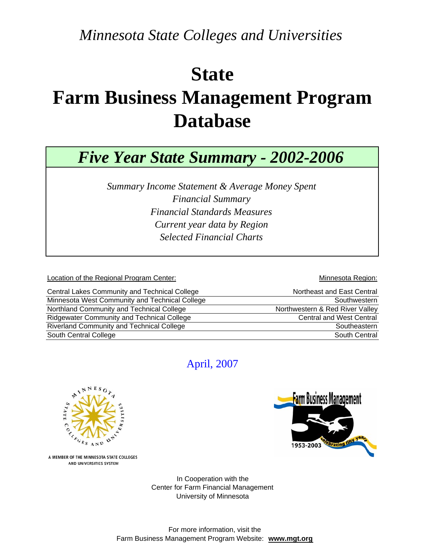*Minnesota State Colleges and Universities*

## **State Farm Business Management Program Database**

*Five Year State Summary - 2002-2006*

*Financial Standards Measures Selected Financial Charts Summary Income Statement & Average Money Spent Financial Summary Current year data by Region*

Location of the Regional Program Center: **Minnesota Region:** Minnesota Region:

| Central Lakes Community and Technical College     | Northeast and East Central      |
|---------------------------------------------------|---------------------------------|
| Minnesota West Community and Technical College    | Southwestern                    |
| Northland Community and Technical College         | Northwestern & Red River Valley |
| <b>Ridgewater Community and Technical College</b> | <b>Central and West Central</b> |
| Riverland Community and Technical College         | Southeastern                    |
| South Central College                             | South Central                   |

## April, 2007



**Farm Business Management** 1953-2003

A MEMBER OF THE MINNESOTA STATE COLLEGES AND UNIVERSITIES SYSTEM

> Center for Farm Financial Management University of Minnesota In Cooperation with the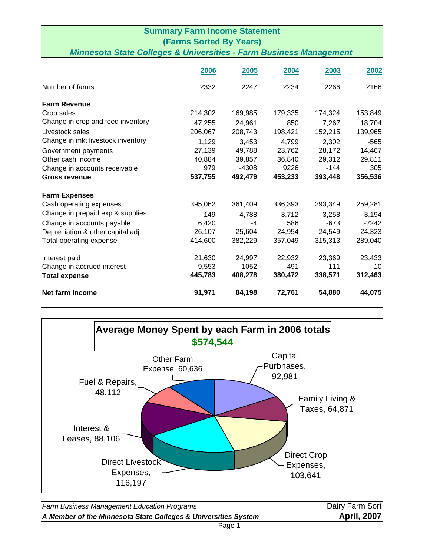| <b>Summary Farm Income Statement</b>                                          |                                |         |         |         |          |  |
|-------------------------------------------------------------------------------|--------------------------------|---------|---------|---------|----------|--|
|                                                                               | <b>(Farms Sorted By Years)</b> |         |         |         |          |  |
| <b>Minnesota State Colleges &amp; Universities - Farm Business Management</b> |                                |         |         |         |          |  |
|                                                                               | 2006                           | 2005    | 2004    | 2003    | 2002     |  |
| Number of farms                                                               | 2332                           | 2247    | 2234    | 2266    | 2166     |  |
| <b>Farm Revenue</b>                                                           |                                |         |         |         |          |  |
| Crop sales                                                                    | 214,302                        | 169,985 | 179,335 | 174,324 | 153,849  |  |
| Change in crop and feed inventory                                             | 47,255                         | 24,961  | 850     | 7,267   | 18,704   |  |
| Livestock sales                                                               | 206,067                        | 208,743 | 198,421 | 152,215 | 139,965  |  |
| Change in mkt livestock inventory                                             | 1,129                          | 3,453   | 4,799   | 2,302   | $-565$   |  |
| Government payments                                                           | 27,139                         | 49,788  | 23,762  | 28,172  | 14,467   |  |
| Other cash income                                                             | 40,884                         | 39,857  | 36,840  | 29,312  | 29,811   |  |
| Change in accounts receivable                                                 | 979                            | $-4308$ | 9226    | $-144$  | 305      |  |
| <b>Gross revenue</b>                                                          | 537,755                        | 492,479 | 453,233 | 393,448 | 356,536  |  |
| <b>Farm Expenses</b>                                                          |                                |         |         |         |          |  |
| Cash operating expenses                                                       | 395,062                        | 361,409 | 336,393 | 293,349 | 259,281  |  |
| Change in prepaid exp & supplies                                              | 149                            | 4,788   | 3,712   | 3,258   | $-3,194$ |  |
| Change in accounts payable                                                    | 6,420                          | $-4$    | 586     | $-673$  | $-2242$  |  |
| Depreciation & other capital adj                                              | 26,107                         | 25,604  | 24,954  | 24,549  | 24,323   |  |
| Total operating expense                                                       | 414,600                        | 382,229 | 357,049 | 315,313 | 289,040  |  |
| Interest paid                                                                 | 21,630                         | 24,997  | 22,932  | 23,369  | 23,433   |  |
| Change in accrued interest                                                    | 9,553                          | 1052    | 491     | $-111$  | $-10$    |  |
| <b>Total expense</b>                                                          | 445,783                        | 408,278 | 380,472 | 338,571 | 312,463  |  |
| Net farm income                                                               | 91,971                         | 84,198  | 72,761  | 54,880  | 44,075   |  |



**Farm Business Management Education Programs Dairy Farm Sort** Dairy Farm Sort *A Member of the Minnesota State Colleges & Universities System* **April, 2007**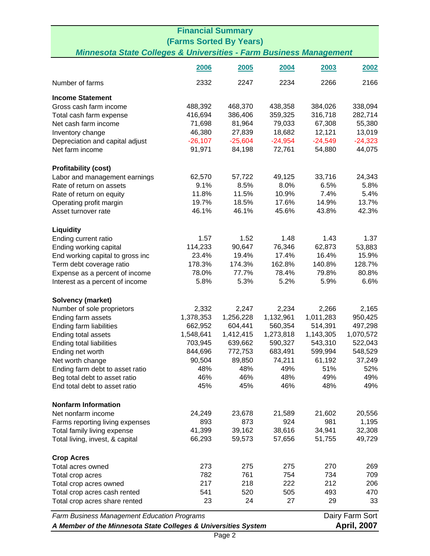| <b>Financial Summary</b>                                                                                        |                                                                |           |           |           |                    |
|-----------------------------------------------------------------------------------------------------------------|----------------------------------------------------------------|-----------|-----------|-----------|--------------------|
| <b>(Farms Sorted By Years)</b><br><b>Minnesota State Colleges &amp; Universities - Farm Business Management</b> |                                                                |           |           |           |                    |
|                                                                                                                 |                                                                |           |           |           |                    |
|                                                                                                                 | 2006                                                           | 2005      | 2004      | 2003      | 2002               |
| Number of farms                                                                                                 | 2332                                                           | 2247      | 2234      | 2266      | 2166               |
| <b>Income Statement</b>                                                                                         |                                                                |           |           |           |                    |
| Gross cash farm income                                                                                          | 488,392                                                        | 468,370   | 438,358   | 384,026   | 338,094            |
| Total cash farm expense                                                                                         | 416,694                                                        | 386,406   | 359,325   | 316,718   | 282,714            |
| Net cash farm income                                                                                            | 71,698                                                         | 81,964    | 79,033    | 67,308    | 55,380             |
| Inventory change                                                                                                | 46,380                                                         | 27,839    | 18,682    | 12,121    | 13,019             |
| Depreciation and capital adjust                                                                                 | $-26,107$                                                      | $-25,604$ | $-24,954$ | $-24,549$ | $-24,323$          |
| Net farm income                                                                                                 | 91,971                                                         | 84,198    | 72,761    | 54,880    | 44,075             |
| <b>Profitability (cost)</b>                                                                                     |                                                                |           |           |           |                    |
| Labor and management earnings                                                                                   | 62,570                                                         | 57,722    | 49,125    | 33,716    | 24,343             |
| Rate of return on assets                                                                                        | 9.1%                                                           | 8.5%      | 8.0%      | 6.5%      | 5.8%               |
| Rate of return on equity                                                                                        | 11.8%                                                          | 11.5%     | 10.9%     | 7.4%      | 5.4%               |
| Operating profit margin                                                                                         | 19.7%                                                          | 18.5%     | 17.6%     | 14.9%     | 13.7%              |
| Asset turnover rate                                                                                             | 46.1%                                                          | 46.1%     | 45.6%     | 43.8%     | 42.3%              |
| <b>Liquidity</b>                                                                                                |                                                                |           |           |           |                    |
| Ending current ratio                                                                                            | 1.57                                                           | 1.52      | 1.48      | 1.43      | 1.37               |
| Ending working capital                                                                                          | 114,233                                                        | 90,647    | 76,346    | 62,873    | 53,883             |
| End working capital to gross inc                                                                                | 23.4%                                                          | 19.4%     | 17.4%     | 16.4%     | 15.9%              |
| Term debt coverage ratio                                                                                        | 178.3%                                                         | 174.3%    | 162.8%    | 140.8%    | 128.7%             |
| Expense as a percent of income                                                                                  | 78.0%                                                          | 77.7%     | 78.4%     | 79.8%     | 80.8%              |
| Interest as a percent of income                                                                                 | 5.8%                                                           | 5.3%      | 5.2%      | 5.9%      | 6.6%               |
| Solvency (market)                                                                                               |                                                                |           |           |           |                    |
| Number of sole proprietors                                                                                      | 2,332                                                          | 2,247     | 2,234     | 2,266     | 2,165              |
| Ending farm assets                                                                                              | 1,378,353                                                      | 1,256,228 | 1,132,961 | 1,011,283 | 950,425            |
| Ending farm liabilities                                                                                         | 662,952                                                        | 604,441   | 560,354   | 514,391   | 497,298            |
| Ending total assets                                                                                             | 1,548,641                                                      | 1,412,415 | 1,273,818 | 1,143,305 | 1,070,572          |
| Ending total liabilities                                                                                        | 703,945                                                        | 639,662   | 590,327   | 543,310   | 522,043            |
| Ending net worth                                                                                                | 844,696                                                        | 772,753   | 683,491   | 599,994   | 548,529            |
| Net worth change                                                                                                | 90,504                                                         | 89,850    | 74,211    | 61,192    | 37,249             |
| Ending farm debt to asset ratio                                                                                 | 48%                                                            | 48%       | 49%       | 51%       | 52%                |
| Beg total debt to asset ratio                                                                                   | 46%                                                            | 46%       | 48%       | 49%       | 49%                |
| End total debt to asset ratio                                                                                   | 45%                                                            | 45%       | 46%       | 48%       | 49%                |
| <b>Nonfarm Information</b>                                                                                      |                                                                |           |           |           |                    |
| Net nonfarm income                                                                                              | 24,249                                                         | 23,678    | 21,589    | 21,602    | 20,556             |
| Farms reporting living expenses                                                                                 | 893                                                            | 873       | 924       | 981       | 1,195              |
| Total family living expense                                                                                     | 41,399                                                         | 39,162    | 38,616    | 34,941    | 32,308             |
| Total living, invest, & capital                                                                                 | 66,293                                                         | 59,573    | 57,656    | 51,755    | 49,729             |
| <b>Crop Acres</b>                                                                                               |                                                                |           |           |           |                    |
| Total acres owned                                                                                               | 273                                                            | 275       | 275       | 270       | 269                |
| Total crop acres                                                                                                | 782                                                            | 761       | 754       | 734       | 709                |
| Total crop acres owned                                                                                          | 217                                                            | 218       | 222       | 212       | 206                |
| Total crop acres cash rented                                                                                    | 541                                                            | 520       | 505       | 493       | 470                |
| Total crop acres share rented                                                                                   | 23                                                             | 24        | 27        | 29        | 33                 |
|                                                                                                                 | Dairy Farm Sort<br>Farm Business Management Education Programs |           |           |           |                    |
| A Member of the Minnesota State Colleges & Universities System                                                  |                                                                |           |           |           | <b>April, 2007</b> |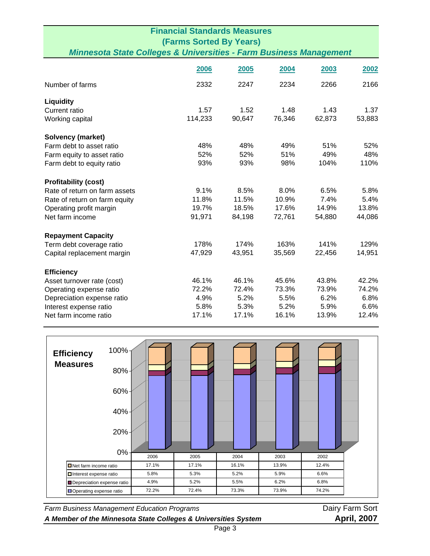| <b>Financial Standards Measures</b><br><b>(Farms Sorted By Years)</b>         |         |        |        |        |        |
|-------------------------------------------------------------------------------|---------|--------|--------|--------|--------|
| <b>Minnesota State Colleges &amp; Universities - Farm Business Management</b> |         |        |        |        |        |
|                                                                               | 2006    | 2005   | 2004   | 2003   | 2002   |
| Number of farms                                                               | 2332    | 2247   | 2234   | 2266   | 2166   |
| Liquidity                                                                     |         |        |        |        |        |
| Current ratio                                                                 | 1.57    | 1.52   | 1.48   | 1.43   | 1.37   |
| Working capital                                                               | 114,233 | 90,647 | 76,346 | 62,873 | 53,883 |
| <b>Solvency (market)</b>                                                      |         |        |        |        |        |
| Farm debt to asset ratio                                                      | 48%     | 48%    | 49%    | 51%    | 52%    |
| Farm equity to asset ratio                                                    | 52%     | 52%    | 51%    | 49%    | 48%    |
| Farm debt to equity ratio                                                     | 93%     | 93%    | 98%    | 104%   | 110%   |
| <b>Profitability (cost)</b>                                                   |         |        |        |        |        |
| Rate of return on farm assets                                                 | 9.1%    | 8.5%   | 8.0%   | 6.5%   | 5.8%   |
| Rate of return on farm equity                                                 | 11.8%   | 11.5%  | 10.9%  | 7.4%   | 5.4%   |
| Operating profit margin                                                       | 19.7%   | 18.5%  | 17.6%  | 14.9%  | 13.8%  |
| Net farm income                                                               | 91,971  | 84,198 | 72,761 | 54,880 | 44,086 |
| <b>Repayment Capacity</b>                                                     |         |        |        |        |        |
| Term debt coverage ratio                                                      | 178%    | 174%   | 163%   | 141%   | 129%   |
| Capital replacement margin                                                    | 47,929  | 43,951 | 35,569 | 22,456 | 14,951 |
| <b>Efficiency</b>                                                             |         |        |        |        |        |
| Asset turnover rate (cost)                                                    | 46.1%   | 46.1%  | 45.6%  | 43.8%  | 42.2%  |
| Operating expense ratio                                                       | 72.2%   | 72.4%  | 73.3%  | 73.9%  | 74.2%  |
| Depreciation expense ratio                                                    | 4.9%    | 5.2%   | 5.5%   | 6.2%   | 6.8%   |
| Interest expense ratio                                                        | 5.8%    | 5.3%   | 5.2%   | 5.9%   | 6.6%   |
| Net farm income ratio                                                         | 17.1%   | 17.1%  | 16.1%  | 13.9%  | 12.4%  |



**Farm Business Management Education Programs Dairy Farm Sort** Dairy Farm Sort *A Member of the Minnesota State Colleges & Universities System* **April, 2007**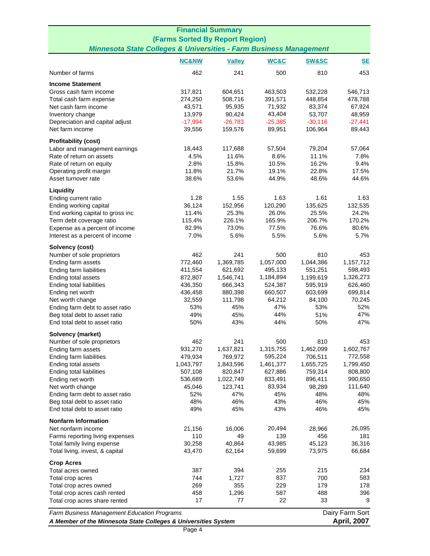| <b>Financial Summary</b>                                                             |                                                                       |                      |                   |                   |                    |  |
|--------------------------------------------------------------------------------------|-----------------------------------------------------------------------|----------------------|-------------------|-------------------|--------------------|--|
| (Farms Sorted By Report Region)                                                      |                                                                       |                      |                   |                   |                    |  |
| <b>Minnesota State Colleges &amp; Universities - Farm Business Management</b>        |                                                                       |                      |                   |                   |                    |  |
|                                                                                      | <b>NC&amp;NW</b>                                                      | <b>Valley</b>        | WC&C              | <b>SW&amp;SC</b>  | $SE$               |  |
| Number of farms                                                                      | 462                                                                   | 241                  | 500               | 810               | 453                |  |
| <b>Income Statement</b>                                                              |                                                                       |                      |                   |                   |                    |  |
| Gross cash farm income                                                               | 317,821                                                               | 604,651              | 463,503           | 532,228           | 546,713            |  |
| Total cash farm expense                                                              | 274,250                                                               | 508,716              | 391,571           | 448,854           | 478,788            |  |
| Net cash farm income                                                                 | 43,571                                                                | 95,935               | 71,932            | 83,374            | 67,924             |  |
| Inventory change                                                                     | 13,979                                                                | 90,424               | 43,404            | 53,707            | 48,959             |  |
| Depreciation and capital adjust                                                      | $-17,994$                                                             | $-26,783$            | $-25,385$         | $-30,116$         | $-27,441$          |  |
| Net farm income                                                                      | 39,556                                                                | 159,576              | 89,951            | 106,964           | 89,443             |  |
| <b>Profitability (cost)</b>                                                          |                                                                       |                      |                   |                   |                    |  |
| Labor and management earnings                                                        | 18,443                                                                | 117,688              | 57,504            | 79,204            | 57,064             |  |
| Rate of return on assets                                                             | 4.5%                                                                  | 11.6%                | 8.6%              | 11.1%             | 7.8%               |  |
| Rate of return on equity                                                             | 2.8%                                                                  | 15.8%                | 10.5%             | 16.2%             | 9.4%               |  |
| Operating profit margin                                                              | 11.8%                                                                 | 21.7%                | 19.1%             | 22.8%             | 17.5%<br>44.6%     |  |
| Asset turnover rate                                                                  | 38.6%                                                                 | 53.6%                | 44.9%             | 48.6%             |                    |  |
| Liquidity                                                                            |                                                                       |                      |                   |                   |                    |  |
| Ending current ratio                                                                 | 1.28                                                                  | 1.55                 | 1.63              | 1.61              | 1.63               |  |
| Ending working capital                                                               | 36,124<br>11.4%                                                       | 152,956<br>25.3%     | 120,290<br>26.0%  | 135,625<br>25.5%  | 132,535<br>24.2%   |  |
| End working capital to gross inc<br>Term debt coverage ratio                         | 115.4%                                                                | 226.1%               | 165.9%            | 206.7%            | 170.2%             |  |
| Expense as a percent of income                                                       | 82.9%                                                                 | 73.0%                | 77.5%             | 76.6%             | 80.6%              |  |
| Interest as a percent of income                                                      | 7.0%                                                                  | 5.6%                 | 5.5%              | 5.6%              | 5.7%               |  |
|                                                                                      |                                                                       |                      |                   |                   |                    |  |
| Solvency (cost)                                                                      | 462                                                                   | 241                  | 500               | 810               | 453                |  |
| Number of sole proprietors<br>Ending farm assets                                     | 772,460                                                               | 1,369,785            | 1,057,000         | 1,044,386         | 1,157,712          |  |
| Ending farm liabilities                                                              | 411,554                                                               | 621,692              | 495,133           | 551,251           | 598,493            |  |
| Ending total assets                                                                  | 872,807                                                               | 1,546,741            | 1,184,894         | 1,199,619         | 1,326,273          |  |
| Ending total liabilities                                                             | 436,350                                                               | 666,343              | 524,387           | 595,919           | 626,460            |  |
| Ending net worth                                                                     | 436,458                                                               | 880,398              | 660,507           | 603,699           | 699,814            |  |
| Net worth change                                                                     | 32,559                                                                | 111,798              | 64,212            | 84,100            | 70,245             |  |
| Ending farm debt to asset ratio                                                      | 53%                                                                   | 45%                  | 47%               | 53%               | 52%                |  |
| Beg total debt to asset ratio                                                        | 49%                                                                   | 45%                  | 44%               | 51%               | 47%                |  |
| End total debt to asset ratio                                                        | 50%                                                                   | 43%                  | 44%               | 50%               | 47%                |  |
| Solvency (market)                                                                    |                                                                       |                      |                   |                   |                    |  |
| Number of sole proprietors                                                           | 462                                                                   | 241                  | 500               | 810               | 453                |  |
| Ending farm assets                                                                   | 931,270                                                               | 1,637,821            | 1,315,755         | 1,462,099         | 1,602,767          |  |
| Ending farm liabilities                                                              | 479,934                                                               | 769,972              | 595,224           | 706,511           | 772,558            |  |
| Ending total assets                                                                  | 1,043,797                                                             | 1,843,596            | 1,461,377         | 1,655,725         | 1,799,450          |  |
| Ending total liabilities                                                             | 507,108                                                               | 820,847              | 627,886           | 759,314           | 808,800            |  |
| Ending net worth<br>Net worth change                                                 | 536,689<br>45,046                                                     | 1,022,749<br>123,741 | 833,491<br>83,934 | 896,411<br>98,289 | 990,650<br>111,640 |  |
| Ending farm debt to asset ratio                                                      | 52%                                                                   | 47%                  | 45%               | 48%               | 48%                |  |
| Beg total debt to asset ratio                                                        | 48%                                                                   | 46%                  | 43%               | 46%               | 45%                |  |
| End total debt to asset ratio                                                        | 49%                                                                   | 45%                  | 43%               | 46%               | 45%                |  |
| <b>Nonfarm Information</b>                                                           |                                                                       |                      |                   |                   |                    |  |
| Net nonfarm income                                                                   | 21,156                                                                | 16,006               | 20,494            | 28,966            | 26,095             |  |
| Farms reporting living expenses                                                      | 110                                                                   | 49                   | 139               | 456               | 181                |  |
| Total family living expense                                                          | 30,258                                                                | 40,864               | 43,985            | 45,123            | 36,316             |  |
| Total living, invest, & capital                                                      | 43,470                                                                | 62,164               | 59,699            | 73,975            | 66,684             |  |
| <b>Crop Acres</b>                                                                    |                                                                       |                      |                   |                   |                    |  |
| Total acres owned                                                                    | 387                                                                   | 394                  | 255               | 215               | 234                |  |
| Total crop acres                                                                     | 744                                                                   | 1,727                | 837               | 700               | 583                |  |
| Total crop acres owned                                                               | 269                                                                   | 355                  | 229               | 179               | 178                |  |
| Total crop acres cash rented                                                         | 458                                                                   | 1,296                | 587               | 488               | 396                |  |
| Total crop acres share rented                                                        | 17                                                                    | 77                   | 22                | 33                | 9                  |  |
|                                                                                      | Dairy Farm Sort<br><b>Farm Business Management Education Programs</b> |                      |                   |                   |                    |  |
| <b>April, 2007</b><br>A Member of the Minnesota State Colleges & Universities System |                                                                       |                      |                   |                   |                    |  |